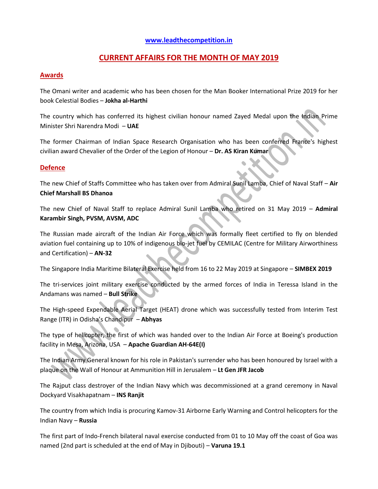# **[www.leadthecompetition.in](http://www.leadthecompetition.in/)**

# **CURRENT AFFAIRS FOR THE MONTH OF MAY 2019**

### **Awards**

The Omani writer and academic who has been chosen for the Man Booker International Prize 2019 for her book Celestial Bodies – **Jokha al-Harthi**

The country which has conferred its highest civilian honour named Zayed Medal upon the Indian Prime Minister Shri Narendra Modi – **UAE**

The former Chairman of Indian Space Research Organisation who has been conferred France's highest civilian award Chevalier of the Order of the Legion of Honour – **Dr. AS Kiran Kumar**

#### **Defence**

The new Chief of Staffs Committee who has taken over from Admiral Sunil Lamba, Chief of Naval Staff – **Air Chief Marshall BS Dhanoa**

The new Chief of Naval Staff to replace Admiral Sunil Lamba who retired on 31 May 2019 – **Admiral Karambir Singh, PVSM, AVSM, ADC**

The Russian made aircraft of the Indian Air Force which was formally fleet certified to fly on blended aviation fuel containing up to 10% of indigenous bio-jet fuel by CEMILAC (Centre for Military Airworthiness and Certification) – **AN-32**

The Singapore India Maritime Bilateral Exercise held from 16 to 22 May 2019 at Singapore – **SIMBEX 2019**

The tri-services joint military exercise conducted by the armed forces of India in Teressa Island in the Andamans was named – **Bull Strike**

The High-speed Expendable Aerial Target (HEAT) drone which was successfully tested from Interim Test Range (ITR) in Odisha's Chandipur – **Abhyas**

The type of helicopter, the first of which was handed over to the Indian Air Force at Boeing's production facility in Mesa, Arizona, USA – **Apache Guardian AH-64E(I)**

The Indian Army General known for his role in Pakistan's surrender who has been honoured by Israel with a plaque on the Wall of Honour at Ammunition Hill in Jerusalem – **Lt Gen JFR Jacob**

The Rajput class destroyer of the Indian Navy which was decommissioned at a grand ceremony in Naval Dockyard Visakhapatnam – **INS Ranjit**

The country from which India is procuring Kamov-31 Airborne Early Warning and Control helicopters for the Indian Navy – **Russia**

The first part of Indo-French bilateral naval exercise conducted from 01 to 10 May off the coast of Goa was named (2nd part is scheduled at the end of May in Djibouti) – **Varuna 19.1**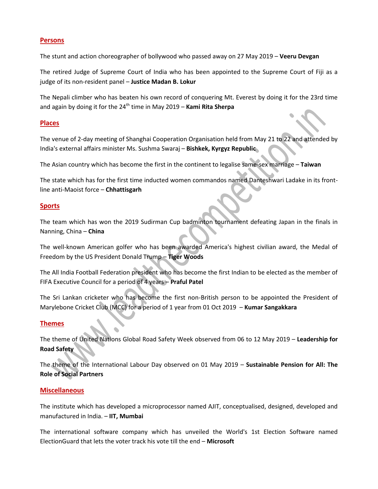### **Persons**

The stunt and action choreographer of bollywood who passed away on 27 May 2019 – **Veeru Devgan**

The retired Judge of Supreme Court of India who has been appointed to the Supreme Court of Fiji as a judge of its non-resident panel – **Justice Madan B. Lokur**

The Nepali climber who has beaten his own record of conquering Mt. Everest by doing it for the 23rd time and again by doing it for the 24<sup>th</sup> time in May 2019 – **Kami Rita Sherpa** 

### **Places**

The venue of 2-day meeting of Shanghai Cooperation Organisation held from May 21 to 22 and attended by India's external affairs minister Ms. Sushma Swaraj – **Bishkek, Kyrgyz Republic**

The Asian country which has become the first in the continent to legalise same-sex marriage – **Taiwan**

The state which has for the first time inducted women commandos named Danteshwari Ladake in its frontline anti-Maoist force – **Chhattisgarh**

### **Sports**

The team which has won the 2019 Sudirman Cup badminton tournament defeating Japan in the finals in Nanning, China – **China**

The well-known American golfer who has been awarded America's highest civilian award, the Medal of Freedom by the US President Donald Trump – **Tiger Woods**

The All India Football Federation president who has become the first Indian to be elected as the member of FIFA Executive Council for a period of 4 years – **Praful Patel**

The Sri Lankan cricketer who has become the first non-British person to be appointed the President of Marylebone Cricket Club (MCC) for a period of 1 year from 01 Oct 2019 – **Kumar Sangakkara**

### **Themes**

The theme of United Nations Global Road Safety Week observed from 06 to 12 May 2019 – **Leadership for Road Safety**

The theme of the International Labour Day observed on 01 May 2019 – **Sustainable Pension for All: The Role of Social Partners**

### **Miscellaneous**

The institute which has developed a microprocessor named AJIT, conceptualised, designed, developed and manufactured in India. – **IIT, Mumbai**

The international software company which has unveiled the World's 1st Election Software named ElectionGuard that lets the voter track his vote till the end – **Microsoft**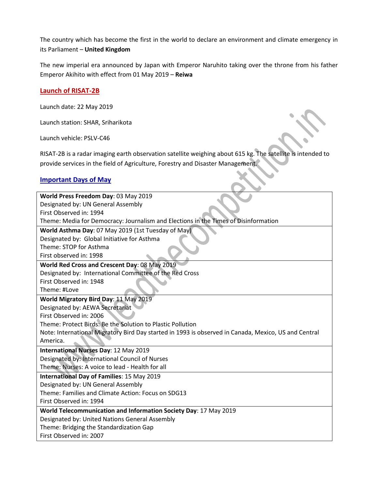The country which has become the first in the world to declare an environment and climate emergency in its Parliament – **United Kingdom**

The new imperial era announced by Japan with Emperor Naruhito taking over the throne from his father Emperor Akihito with effect from 01 May 2019 – **Reiwa**

### **Launch of RISAT-2B**

Launch date: 22 May 2019

Launch station: SHAR, Sriharikota

Launch vehicle: PSLV-C46

RISAT-2B is a radar imaging earth observation satellite weighing about 615 kg. The satellite is intended to provide services in the field of Agriculture, Forestry and Disaster Management.

# **Important Days of May**

| World Press Freedom Day: 03 May 2019                                                                 |
|------------------------------------------------------------------------------------------------------|
| Designated by: UN General Assembly                                                                   |
| First Observed in: 1994                                                                              |
| Theme: Media for Democracy: Journalism and Elections in the Times of Disinformation                  |
| World Asthma Day: 07 May 2019 (1st Tuesday of May)                                                   |
| Designated by: Global Initiative for Asthma                                                          |
| Theme: STOP for Asthma                                                                               |
| First observed in: 1998                                                                              |
| World Red Cross and Crescent Day: 08 May 2019                                                        |
| Designated by: International Committee of the Red Cross                                              |
| First Observed in: 1948                                                                              |
| Theme: #Love                                                                                         |
| World Migratory Bird Day: 11 May 2019                                                                |
| Designated by: AEWA Secretariat                                                                      |
| First Observed in: 2006                                                                              |
| Theme: Protect Birds: Be the Solution to Plastic Pollution                                           |
| Note: International Migratory Bird Day started in 1993 is observed in Canada, Mexico, US and Central |
| America.                                                                                             |
| International Nurses Day: 12 May 2019                                                                |
| Designated by: International Council of Nurses                                                       |
| Theme: Nurses: A voice to lead - Health for all                                                      |
| International Day of Families: 15 May 2019                                                           |
| Designated by: UN General Assembly                                                                   |
| Theme: Families and Climate Action: Focus on SDG13                                                   |
| First Observed in: 1994                                                                              |
| World Telecommunication and Information Society Day: 17 May 2019                                     |
| Designated by: United Nations General Assembly                                                       |
| Theme: Bridging the Standardization Gap                                                              |
| First Observed in: 2007                                                                              |
|                                                                                                      |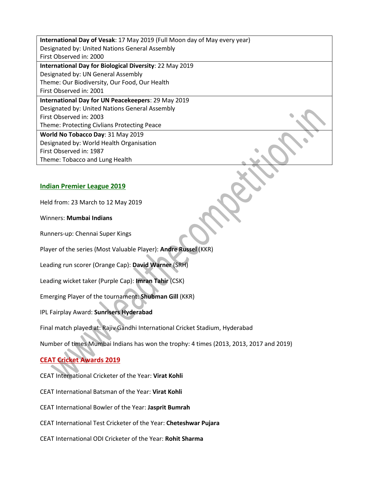**International Day of Vesak**: 17 May 2019 (Full Moon day of May every year) Designated by: United Nations General Assembly First Observed in: 2000 **International Day for Biological Diversity**: 22 May 2019 Designated by: UN General Assembly Theme: Our Biodiversity, Our Food, Our Health First Observed in: 2001 **International Day for UN Peacekeepers**: 29 May 2019 Designated by: United Nations General Assembly First Observed in: 2003 Theme: Protecting Civlians Protecting Peace **World No Tobacco Day**: 31 May 2019 Designated by: World Health Organisation First Observed in: 1987 Theme: Tobacco and Lung Health

### **Indian Premier League 2019**

Held from: 23 March to 12 May 2019

Winners: **Mumbai Indians**

Runners-up: Chennai Super Kings

Player of the series (Most Valuable Player): **Andre Russel** (KKR)

Leading run scorer (Orange Cap): **David Warner** (SRH)

Leading wicket taker (Purple Cap): **Imran Tahir** (CSK)

Emerging Player of the tournament: **Shubman Gill** (KKR)

IPL Fairplay Award: **Sunrisers Hyderabad**

Final match played at: Rajiv Gandhi International Cricket Stadium, Hyderabad

Number of times Mumbai Indians has won the trophy: 4 times (2013, 2013, 2017 and 2019)

# **CEAT Cricket Awards 2019**

CEAT International Cricketer of the Year: **Virat Kohli**

CEAT International Batsman of the Year: **Virat Kohli**

CEAT International Bowler of the Year: **Jasprit Bumrah**

CEAT International Test Cricketer of the Year: **Cheteshwar Pujara**

CEAT International ODI Cricketer of the Year: **Rohit Sharma**